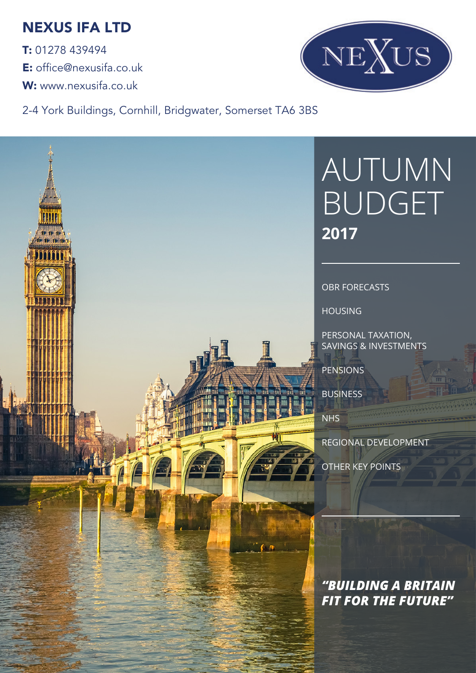## NEXUS IFA LTD

T: 01278 439494 E: office@nexusifa.co.uk W: www.nexusifa.co.uk



2-4 York Buildings, Cornhill, Bridgwater, Somerset TA6 3BS

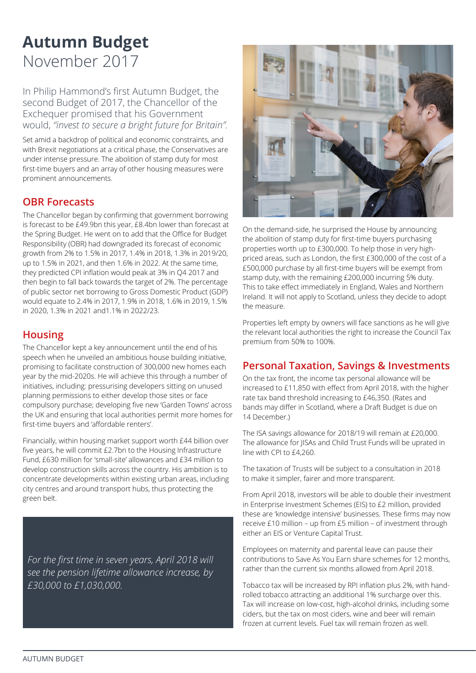# **Autumn Budget** November 2017

In Philip Hammond's first Autumn Budget, the second Budget of 2017, the Chancellor of the Exchequer promised that his Government would, *"invest to secure a bright future for Britain".*

Set amid a backdrop of political and economic constraints, and with Brexit negotiations at a critical phase, the Conservatives are under intense pressure. The abolition of stamp duty for most first-time buyers and an array of other housing measures were prominent announcements.

#### **OBR Forecasts**

The Chancellor began by confirming that government borrowing is forecast to be £49.9bn this year, £8.4bn lower than forecast at the Spring Budget. He went on to add that the Office for Budget Responsibility (OBR) had downgraded its forecast of economic growth from 2% to 1.5% in 2017, 1.4% in 2018, 1.3% in 2019/20, up to 1.5% in 2021, and then 1.6% in 2022. At the same time, they predicted CPI inflation would peak at 3% in Q4 2017 and then begin to fall back towards the target of 2%. The percentage of public sector net borrowing to Gross Domestic Product (GDP) would equate to 2.4% in 2017, 1.9% in 2018, 1.6% in 2019, 1.5% in 2020, 1.3% in 2021 and1.1% in 2022/23.

#### **Housing**

The Chancellor kept a key announcement until the end of his speech when he unveiled an ambitious house building initiative, promising to facilitate construction of 300,000 new homes each year by the mid-2020s. He will achieve this through a number of initiatives, including: pressurising developers sitting on unused planning permissions to either develop those sites or face compulsory purchase; developing five new 'Garden Towns' across the UK and ensuring that local authorities permit more homes for first-time buyers and 'affordable renters'.

Financially, within housing market support worth £44 billion over five years, he will commit £2.7bn to the Housing Infrastructure Fund, £630 million for 'small-site' allowances and £34 million to develop construction skills across the country. His ambition is to concentrate developments within existing urban areas, including city centres and around transport hubs, thus protecting the green belt.

*For the first time in seven years, April 2018 will see the pension lifetime allowance increase, by £30,000 to £1,030,000.*



On the demand-side, he surprised the House by announcing the abolition of stamp duty for first-time buyers purchasing properties worth up to £300,000. To help those in very highpriced areas, such as London, the first £300,000 of the cost of a £500,000 purchase by all first-time buyers will be exempt from stamp duty, with the remaining £200,000 incurring 5% duty. This to take effect immediately in England, Wales and Northern Ireland. It will not apply to Scotland, unless they decide to adopt the measure.

Properties left empty by owners will face sanctions as he will give the relevant local authorities the right to increase the Council Tax premium from 50% to 100%.

#### **Personal Taxation, Savings & Investments**

On the tax front, the income tax personal allowance will be increased to £11,850 with effect from April 2018, with the higher rate tax band threshold increasing to £46,350. (Rates and bands may differ in Scotland, where a Draft Budget is due on 14 December.)

The ISA savings allowance for 2018/19 will remain at £20,000. The allowance for JISAs and Child Trust Funds will be uprated in line with CPI to £4,260.

The taxation of Trusts will be subject to a consultation in 2018 to make it simpler, fairer and more transparent.

From April 2018, investors will be able to double their investment in Enterprise Investment Schemes (EIS) to £2 million, provided these are 'knowledge intensive' businesses. These firms may now receive £10 million – up from £5 million – of investment through either an EIS or Venture Capital Trust.

Employees on maternity and parental leave can pause their contributions to Save As You Earn share schemes for 12 months, rather than the current six months allowed from April 2018.

Tobacco tax will be increased by RPI inflation plus 2%, with handrolled tobacco attracting an additional 1% surcharge over this. Tax will increase on low-cost, high-alcohol drinks, including some ciders, but the tax on most ciders, wine and beer will remain frozen at current levels. Fuel tax will remain frozen as well.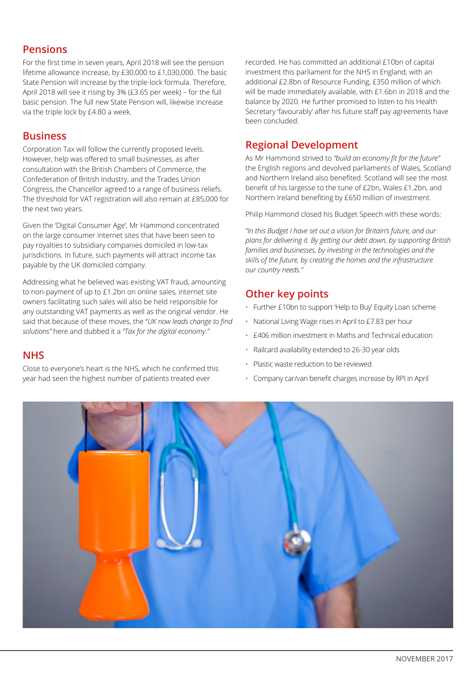## **Pensions**

For the first time in seven years, April 2018 will see the pension lifetime allowance increase, by £30,000 to £1,030,000. The basic State Pension will increase by the triple-lock formula. Therefore, April 2018 will see it rising by 3% (£3.65 per week) – for the full basic pension. The full new State Pension will, likewise increase via the triple lock by £4.80 a week.

#### **Business**

Corporation Tax will follow the currently proposed levels. However, help was offered to small businesses, as after consultation with the British Chambers of Commerce, the Confederation of British Industry, and the Trades Union Congress, the Chancellor agreed to a range of business reliefs. The threshold for VAT registration will also remain at £85,000 for the next two years.

Given the 'Digital Consumer Age', Mr Hammond concentrated on the large consumer internet sites that have been seen to pay royalties to subsidiary companies domiciled in low-tax jurisdictions. In future, such payments will attract income tax payable by the UK domiciled company.

Addressing what he believed was existing VAT fraud, amounting to non-payment of up to £1.2bn on online sales, internet site owners facilitating such sales will also be held responsible for any outstanding VAT payments as well as the original vendor. He said that because of these moves, the "*UK now leads change to find solutions"* here and dubbed it a *"Tax for the digital economy."*

### **NHS**

Close to everyone's heart is the NHS, which he confirmed this year had seen the highest number of patients treated ever

recorded. He has committed an additional £10bn of capital investment this parliament for the NHS in England, with an additional £2.8bn of Resource Funding, £350 million of which will be made immediately available, with £1.6bn in 2018 and the balance by 2020. He further promised to listen to his Health Secretary 'favourably' after his future staff pay agreements have been concluded.

## **Regional Development**

As Mr Hammond strived to *"build an economy fit for the future"*  the English regions and devolved parliaments of Wales, Scotland and Northern Ireland also benefited. Scotland will see the most benefit of his largesse to the tune of £2bn, Wales £1.2bn, and Northern Ireland benefiting by £650 million of investment.

Philip Hammond closed his Budget Speech with these words:

*"In this Budget I have set out a vision for Britain's future, and our plans for delivering it. By getting our debt down, by supporting British families and businesses, by investing in the technologies and the skills of the future, by creating the homes and the infrastructure our country needs."*

## **Other key points**

- Further £10bn to support 'Help to Buy' Equity Loan scheme
- National Living Wage rises in April to £7.83 per hour
- £406 million investment in Maths and Technical education
- Railcard availability extended to 26-30 year olds
- Plastic waste reduction to be reviewed
- Company car/van benefit charges increase by RPI in April